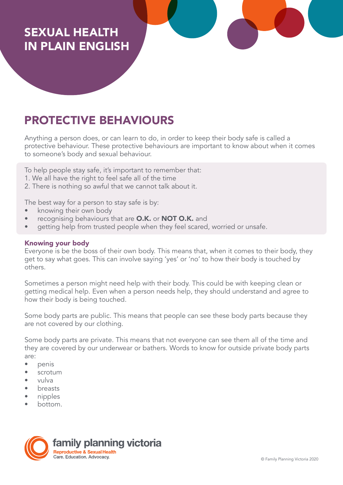# SEXUAL HEALTH IN PLAIN ENGLISH

# PROTECTIVE BEHAVIOURS

Anything a person does, or can learn to do, in order to keep their body safe is called a protective behaviour. These protective behaviours are important to know about when it comes to someone's body and sexual behaviour.

To help people stay safe, it's important to remember that:

- 1. We all have the right to feel safe all of the time
- 2. There is nothing so awful that we cannot talk about it.

The best way for a person to stay safe is by:

- knowing their own body
- recognising behaviours that are O.K. or NOT O.K. and
- getting help from trusted people when they feel scared, worried or unsafe.

## Knowing your body

Everyone is be the boss of their own body. This means that, when it comes to their body, they get to say what goes. This can involve saying 'yes' or 'no' to how their body is touched by others.

Sometimes a person might need help with their body. This could be with keeping clean or getting medical help. Even when a person needs help, they should understand and agree to how their body is being touched.

Some body parts are public. This means that people can see these body parts because they are not covered by our clothing.

Some body parts are private. This means that not everyone can see them all of the time and they are covered by our underwear or bathers. Words to know for outside private body parts are:

- penis
- scrotum
- vulva
- breasts
- nipples
- bottom.

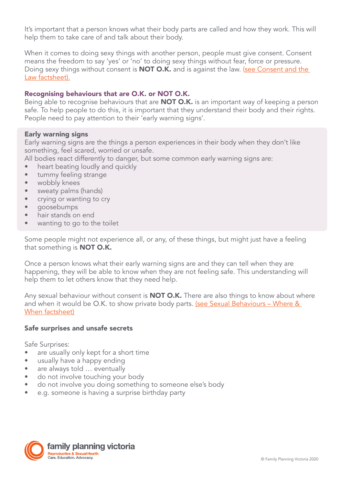It's important that a person knows what their body parts are called and how they work. This will help them to take care of and talk about their body.

When it comes to doing sexy things with another person, people must give consent. Consent means the freedom to say 'yes' or 'no' to doing sexy things without fear, force or pressure. Doing sexy things without consent is **NOT O.K.** and is against the law. (see Consent and the [Law factsheet\).](https://www.fpv.org.au/assets/resources/Final-Sex-and-the-Law-090718_VT_v1.pdf)

## Recognising behaviours that are O.K. or NOT O.K.

Being able to recognise behaviours that are **NOT O.K.** is an important way of keeping a person safe. To help people to do this, it is important that they understand their body and their rights. People need to pay attention to their 'early warning signs'.

### Early warning signs

Early warning signs are the things a person experiences in their body when they don't like something, feel scared, worried or unsafe.

- All bodies react differently to danger, but some common early warning signs are:
- heart beating loudly and quickly
- tummy feeling strange
- wobbly knees
- sweaty palms (hands)
- crying or wanting to cry
- goosebumps
- hair stands on end
- wanting to go to the toilet

Some people might not experience all, or any, of these things, but might just have a feeling that something is **NOT O.K.** 

Once a person knows what their early warning signs are and they can tell when they are happening, they will be able to know when they are not feeling safe. This understanding will help them to let others know that they need help.

Any sexual behaviour without consent is **NOT O.K.** There are also things to know about where and when it would be O.K. to show private body parts. (see Sexual Behaviours - Where & [When factsheet\)](https://www.fpv.org.au/assets/resources/FPV_PlainEnglishResources_FA_SexualBehaviour.pdf)

#### Safe surprises and unsafe secrets

Safe Surprises:

- are usually only kept for a short time
- usually have a happy ending
- are always told ... eventually
- do not involve touching your body
- do not involve you doing something to someone else's body
- e.g. someone is having a surprise birthday party

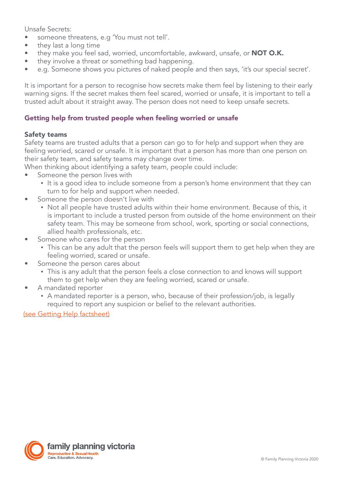Unsafe Secrets:

- someone threatens, e.g 'You must not tell'.
- they last a long time
- they make you feel sad, worried, uncomfortable, awkward, unsafe, or **NOT O.K.**
- they involve a threat or something bad happening.
- e.g. Someone shows you pictures of naked people and then says, 'it's our special secret'.

It is important for a person to recognise how secrets make them feel by listening to their early warning signs. If the secret makes them feel scared, worried or unsafe, it is important to tell a trusted adult about it straight away. The person does not need to keep unsafe secrets.

# Getting help from trusted people when feeling worried or unsafe

### Safety teams

Safety teams are trusted adults that a person can go to for help and support when they are feeling worried, scared or unsafe. It is important that a person has more than one person on their safety team, and safety teams may change over time.

When thinking about identifying a safety team, people could include:

- Someone the person lives with
	- It is a good idea to include someone from a person's home environment that they can turn to for help and support when needed.
- Someone the person doesn't live with
	- Not all people have trusted adults within their home environment. Because of this, it is important to include a trusted person from outside of the home environment on their safety team. This may be someone from school, work, sporting or social connections, allied health professionals, etc.
- Someone who cares for the person
	- This can be any adult that the person feels will support them to get help when they are feeling worried, scared or unsafe.
- Someone the person cares about
	- **•** This is any adult that the person feels a close connection to and knows will support them to get help when they are feeling worried, scared or unsafe.
- A mandated reporter
	- A mandated reporter is a person, who, because of their profession/job, is legally required to report any suspicion or belief to the relevant authorities.

(see Getting Help factsheet)